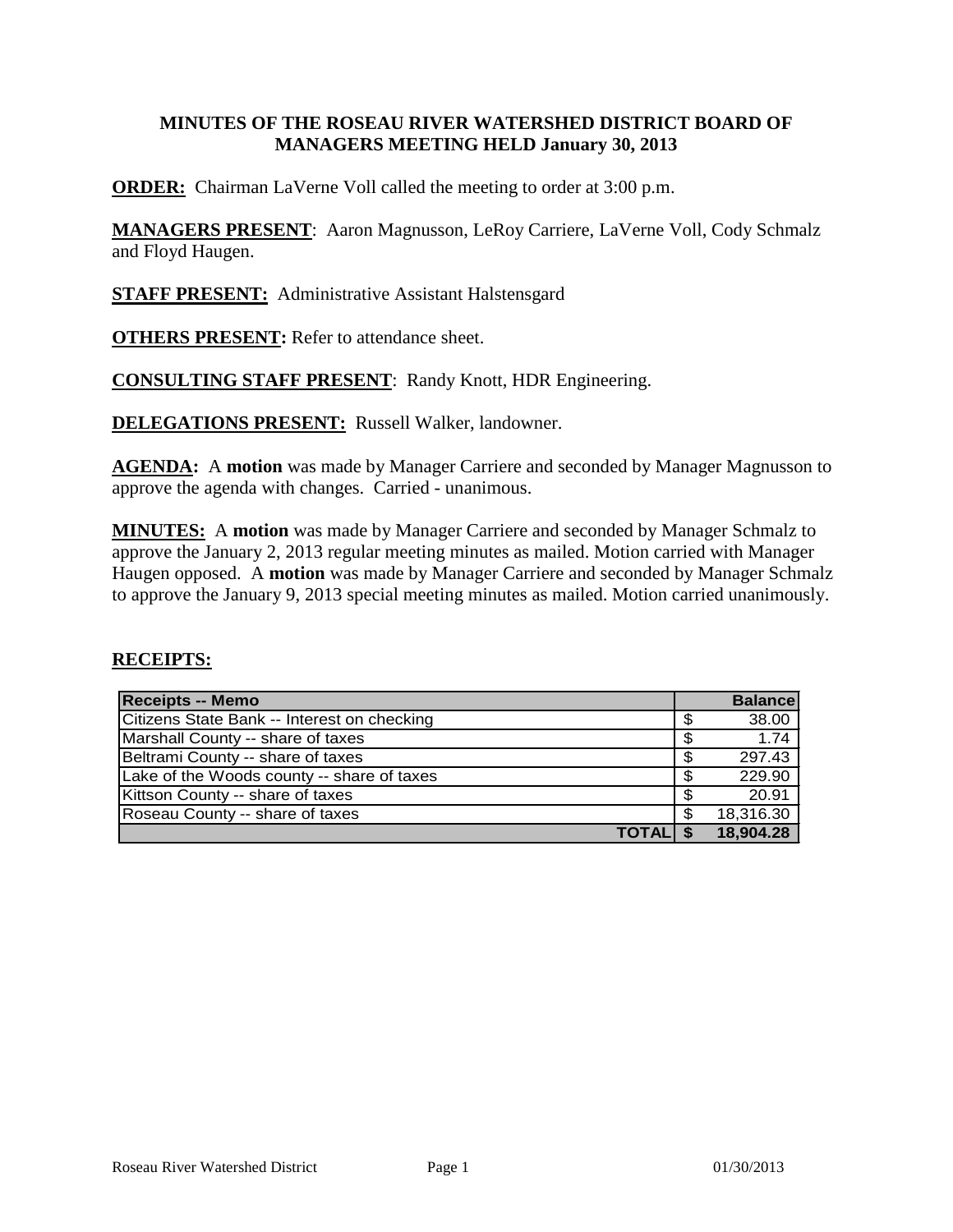## **MINUTES OF THE ROSEAU RIVER WATERSHED DISTRICT BOARD OF MANAGERS MEETING HELD January 30, 2013**

**ORDER:** Chairman LaVerne Voll called the meeting to order at 3:00 p.m.

**MANAGERS PRESENT**: Aaron Magnusson, LeRoy Carriere, LaVerne Voll, Cody Schmalz and Floyd Haugen.

**STAFF PRESENT:** Administrative Assistant Halstensgard

**OTHERS PRESENT:** Refer to attendance sheet.

**CONSULTING STAFF PRESENT**: Randy Knott, HDR Engineering.

**DELEGATIONS PRESENT:** Russell Walker, landowner.

**AGENDA:** A **motion** was made by Manager Carriere and seconded by Manager Magnusson to approve the agenda with changes. Carried - unanimous.

**MINUTES:** A **motion** was made by Manager Carriere and seconded by Manager Schmalz to approve the January 2, 2013 regular meeting minutes as mailed. Motion carried with Manager Haugen opposed. A **motion** was made by Manager Carriere and seconded by Manager Schmalz to approve the January 9, 2013 special meeting minutes as mailed. Motion carried unanimously.

## **RECEIPTS:**

| <b>Receipts -- Memo</b>                     | <b>Balancel</b> |
|---------------------------------------------|-----------------|
| Citizens State Bank -- Interest on checking | \$<br>38.00     |
| Marshall County -- share of taxes           | \$<br>1.74      |
| Beltrami County -- share of taxes           | \$<br>297.43    |
| Lake of the Woods county -- share of taxes  | \$<br>229.90    |
| Kittson County -- share of taxes            | \$<br>20.91     |
| Roseau County -- share of taxes             | \$<br>18,316.30 |
| <b>TOTALI</b>                               | 18,904.28       |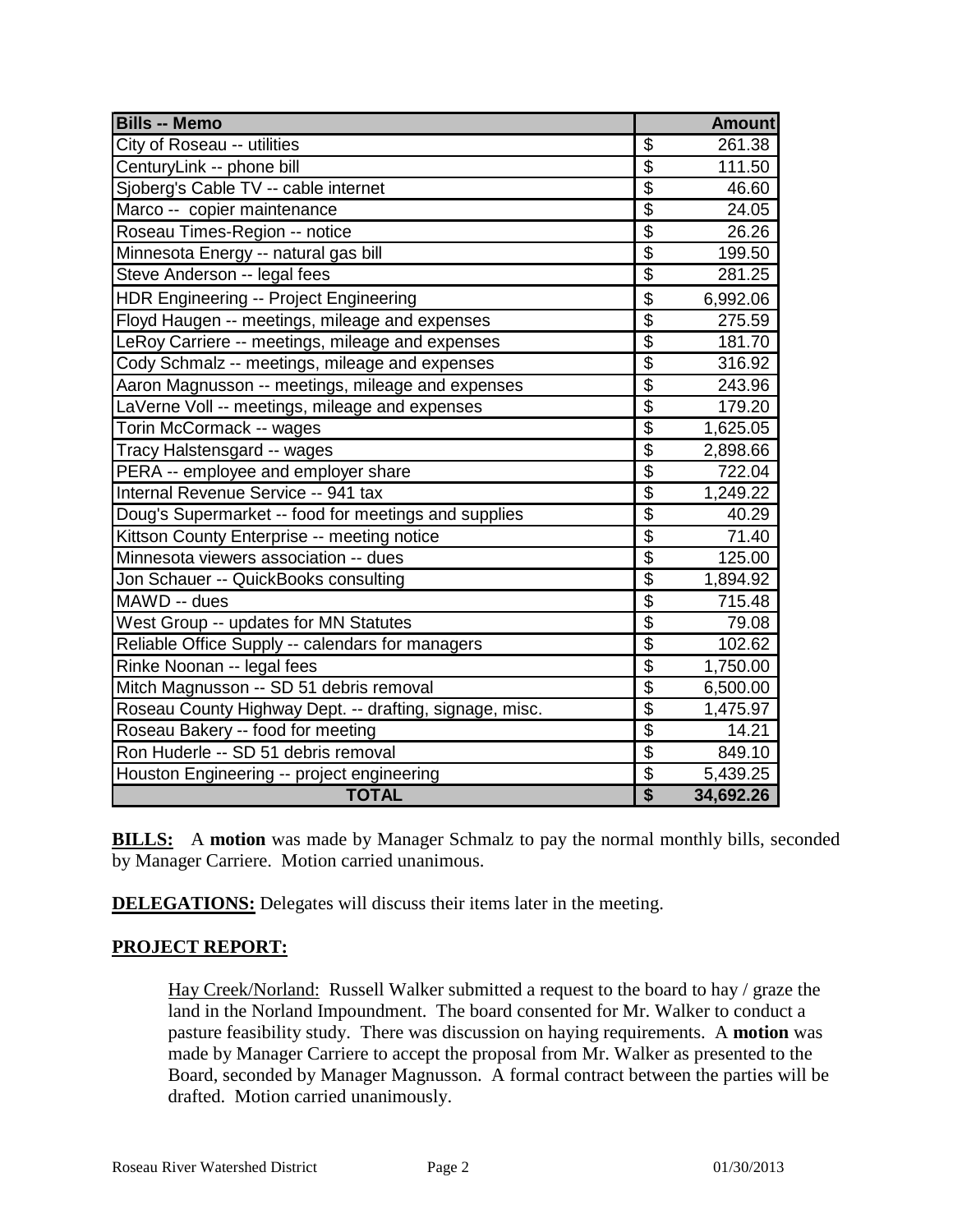| <b>Bills -- Memo</b>                                    |                           | <b>Amount</b> |
|---------------------------------------------------------|---------------------------|---------------|
| City of Roseau -- utilities                             | \$                        | 261.38        |
| CenturyLink -- phone bill                               | $\overline{\mathfrak{s}}$ | 111.50        |
| Sjoberg's Cable TV -- cable internet                    | $\overline{\$}$           | 46.60         |
| Marco -- copier maintenance                             | $\overline{\$}$           | 24.05         |
| Roseau Times-Region -- notice                           | $\overline{\$}$           | 26.26         |
| Minnesota Energy -- natural gas bill                    | $\overline{\mathcal{S}}$  | 199.50        |
| Steve Anderson -- legal fees                            | $\overline{\mathfrak{s}}$ | 281.25        |
| HDR Engineering -- Project Engineering                  | \$                        | 6,992.06      |
| Floyd Haugen -- meetings, mileage and expenses          | $\overline{\$}$           | 275.59        |
| LeRoy Carriere -- meetings, mileage and expenses        | $\overline{\$}$           | 181.70        |
| Cody Schmalz -- meetings, mileage and expenses          | $\overline{\$}$           | 316.92        |
| Aaron Magnusson -- meetings, mileage and expenses       | $\overline{\$}$           | 243.96        |
| LaVerne Voll -- meetings, mileage and expenses          | $\overline{\$}$           | 179.20        |
| Torin McCormack -- wages                                | $\overline{\$}$           | 1,625.05      |
| Tracy Halstensgard -- wages                             | $\overline{\mathfrak{s}}$ | 2,898.66      |
| PERA -- employee and employer share                     | \$                        | 722.04        |
| Internal Revenue Service -- 941 tax                     | $\overline{\$}$           | 1,249.22      |
| Doug's Supermarket -- food for meetings and supplies    | $\overline{\mathfrak{s}}$ | 40.29         |
| Kittson County Enterprise -- meeting notice             | $\overline{\$}$           | 71.40         |
| Minnesota viewers association -- dues                   | $\overline{\$}$           | 125.00        |
| Jon Schauer -- QuickBooks consulting                    | $\overline{\mathcal{G}}$  | 1,894.92      |
| MAWD -- dues                                            | $\overline{\$}$           | 715.48        |
| West Group -- updates for MN Statutes                   | $\overline{\$}$           | 79.08         |
| Reliable Office Supply -- calendars for managers        | $\overline{\$}$           | 102.62        |
| Rinke Noonan -- legal fees                              | $\overline{\$}$           | 1,750.00      |
| Mitch Magnusson -- SD 51 debris removal                 | $\overline{\mathcal{S}}$  | 6,500.00      |
| Roseau County Highway Dept. -- drafting, signage, misc. | $\overline{\$}$           | 1,475.97      |
| Roseau Bakery -- food for meeting                       | $\overline{\mathbf{S}}$   | 14.21         |
| Ron Huderle -- SD 51 debris removal                     | $\overline{\mathfrak{s}}$ | 849.10        |
| Houston Engineering -- project engineering              | $\overline{\$}$           | 5,439.25      |
| <b>TOTAL</b>                                            | \$                        | 34,692.26     |

**BILLS:** A motion was made by Manager Schmalz to pay the normal monthly bills, seconded by Manager Carriere. Motion carried unanimous.

**DELEGATIONS:** Delegates will discuss their items later in the meeting.

## **PROJECT REPORT:**

Hay Creek/Norland: Russell Walker submitted a request to the board to hay / graze the land in the Norland Impoundment. The board consented for Mr. Walker to conduct a pasture feasibility study. There was discussion on haying requirements. A **motion** was made by Manager Carriere to accept the proposal from Mr. Walker as presented to the Board, seconded by Manager Magnusson. A formal contract between the parties will be drafted. Motion carried unanimously.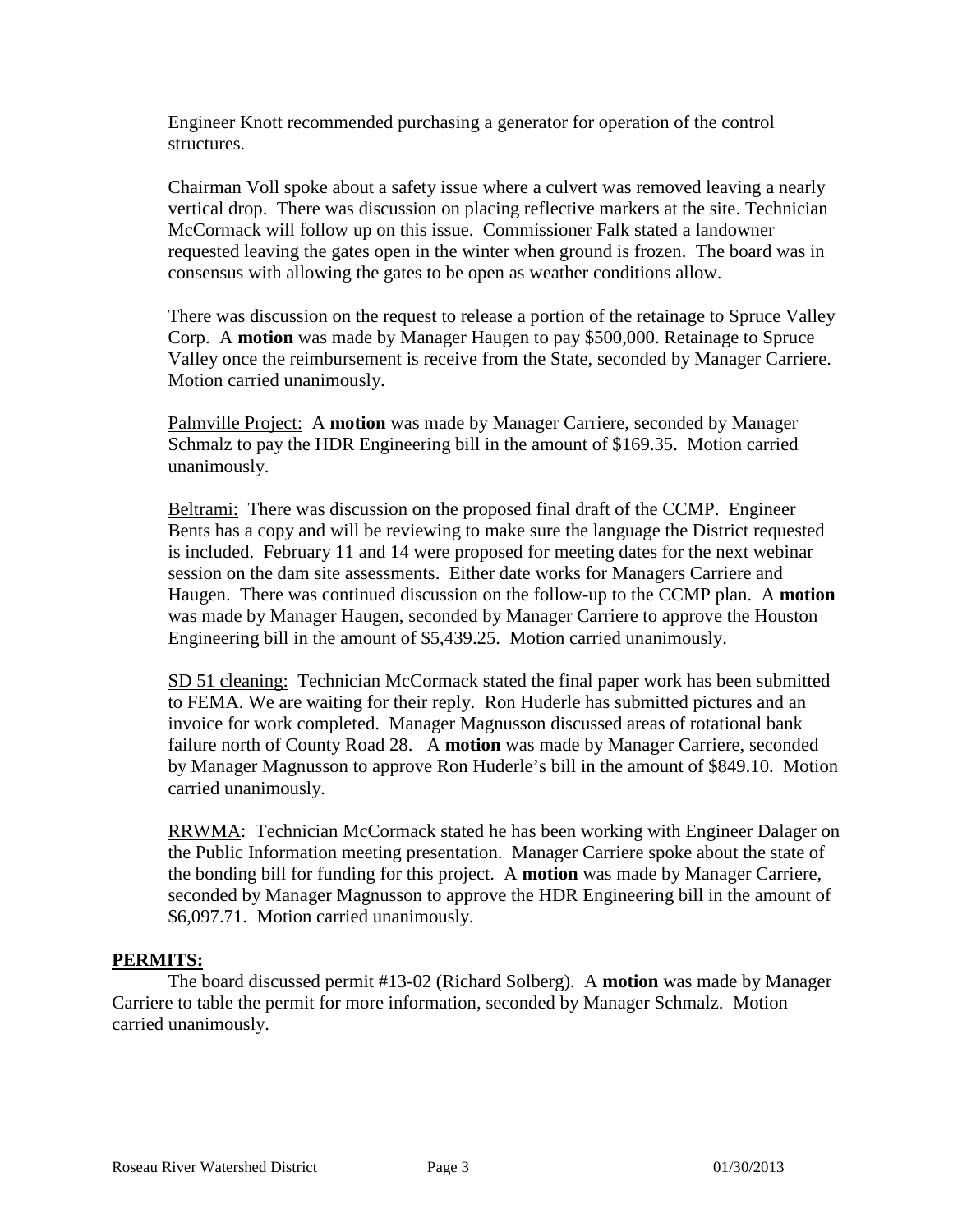Engineer Knott recommended purchasing a generator for operation of the control structures.

Chairman Voll spoke about a safety issue where a culvert was removed leaving a nearly vertical drop. There was discussion on placing reflective markers at the site. Technician McCormack will follow up on this issue. Commissioner Falk stated a landowner requested leaving the gates open in the winter when ground is frozen. The board was in consensus with allowing the gates to be open as weather conditions allow.

There was discussion on the request to release a portion of the retainage to Spruce Valley Corp. A **motion** was made by Manager Haugen to pay \$500,000. Retainage to Spruce Valley once the reimbursement is receive from the State, seconded by Manager Carriere. Motion carried unanimously.

Palmville Project: A **motion** was made by Manager Carriere, seconded by Manager Schmalz to pay the HDR Engineering bill in the amount of \$169.35. Motion carried unanimously.

Beltrami: There was discussion on the proposed final draft of the CCMP. Engineer Bents has a copy and will be reviewing to make sure the language the District requested is included. February 11 and 14 were proposed for meeting dates for the next webinar session on the dam site assessments. Either date works for Managers Carriere and Haugen. There was continued discussion on the follow-up to the CCMP plan. A **motion**  was made by Manager Haugen, seconded by Manager Carriere to approve the Houston Engineering bill in the amount of \$5,439.25. Motion carried unanimously.

SD 51 cleaning: Technician McCormack stated the final paper work has been submitted to FEMA. We are waiting for their reply. Ron Huderle has submitted pictures and an invoice for work completed. Manager Magnusson discussed areas of rotational bank failure north of County Road 28. A **motion** was made by Manager Carriere, seconded by Manager Magnusson to approve Ron Huderle's bill in the amount of \$849.10. Motion carried unanimously.

RRWMA: Technician McCormack stated he has been working with Engineer Dalager on the Public Information meeting presentation. Manager Carriere spoke about the state of the bonding bill for funding for this project. A **motion** was made by Manager Carriere, seconded by Manager Magnusson to approve the HDR Engineering bill in the amount of \$6,097.71. Motion carried unanimously.

## **PERMITS:**

The board discussed permit #13-02 (Richard Solberg). A **motion** was made by Manager Carriere to table the permit for more information, seconded by Manager Schmalz. Motion carried unanimously.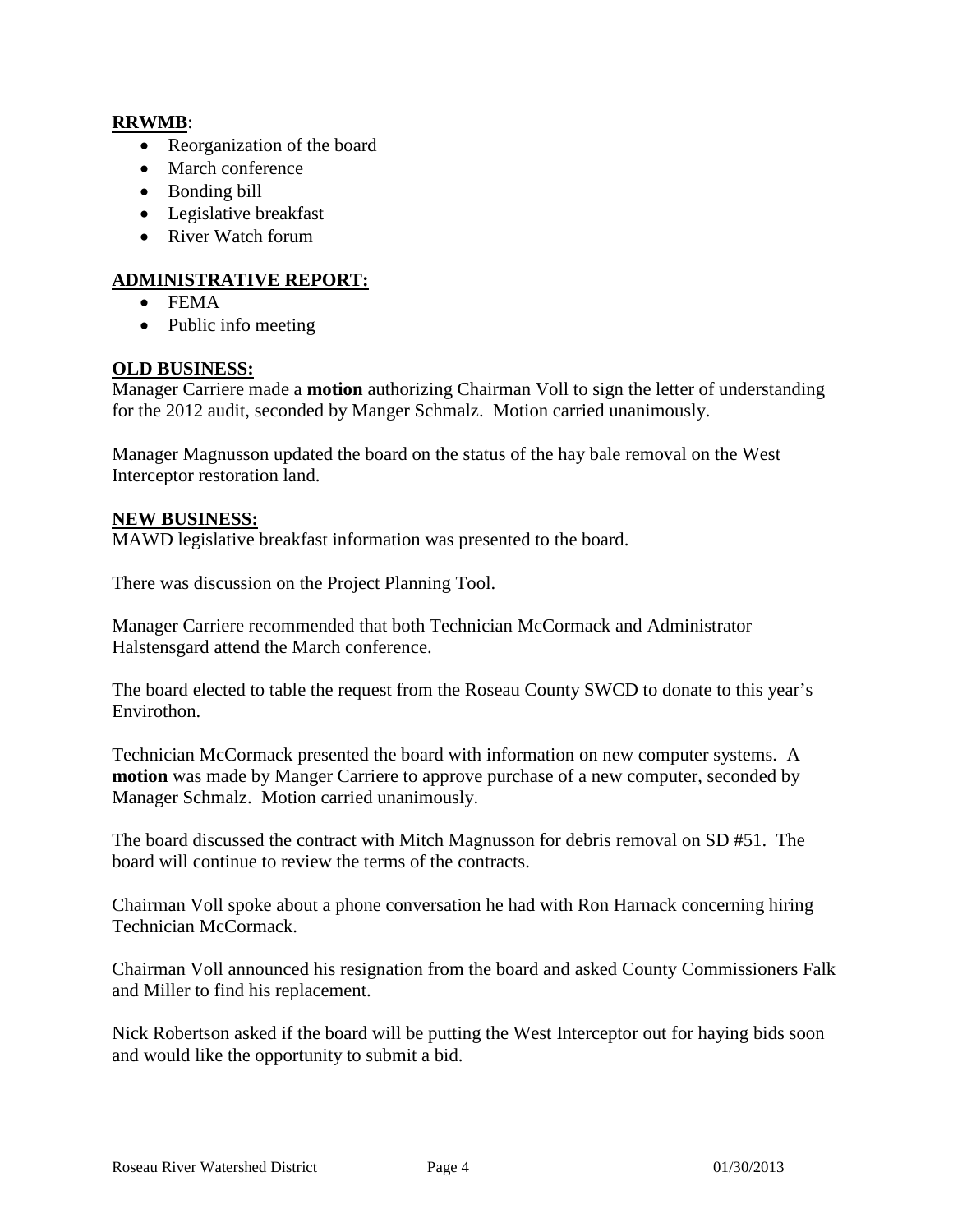## **RRWMB**:

- Reorganization of the board
- March conference
- Bonding bill
- Legislative breakfast
- River Watch forum

# **ADMINISTRATIVE REPORT:**

- FEMA
- Public info meeting

## **OLD BUSINESS:**

Manager Carriere made a **motion** authorizing Chairman Voll to sign the letter of understanding for the 2012 audit, seconded by Manger Schmalz. Motion carried unanimously.

Manager Magnusson updated the board on the status of the hay bale removal on the West Interceptor restoration land.

## **NEW BUSINESS:**

MAWD legislative breakfast information was presented to the board.

There was discussion on the Project Planning Tool.

Manager Carriere recommended that both Technician McCormack and Administrator Halstensgard attend the March conference.

The board elected to table the request from the Roseau County SWCD to donate to this year's Envirothon.

Technician McCormack presented the board with information on new computer systems. A **motion** was made by Manger Carriere to approve purchase of a new computer, seconded by Manager Schmalz. Motion carried unanimously.

The board discussed the contract with Mitch Magnusson for debris removal on SD #51. The board will continue to review the terms of the contracts.

Chairman Voll spoke about a phone conversation he had with Ron Harnack concerning hiring Technician McCormack.

Chairman Voll announced his resignation from the board and asked County Commissioners Falk and Miller to find his replacement.

Nick Robertson asked if the board will be putting the West Interceptor out for haying bids soon and would like the opportunity to submit a bid.